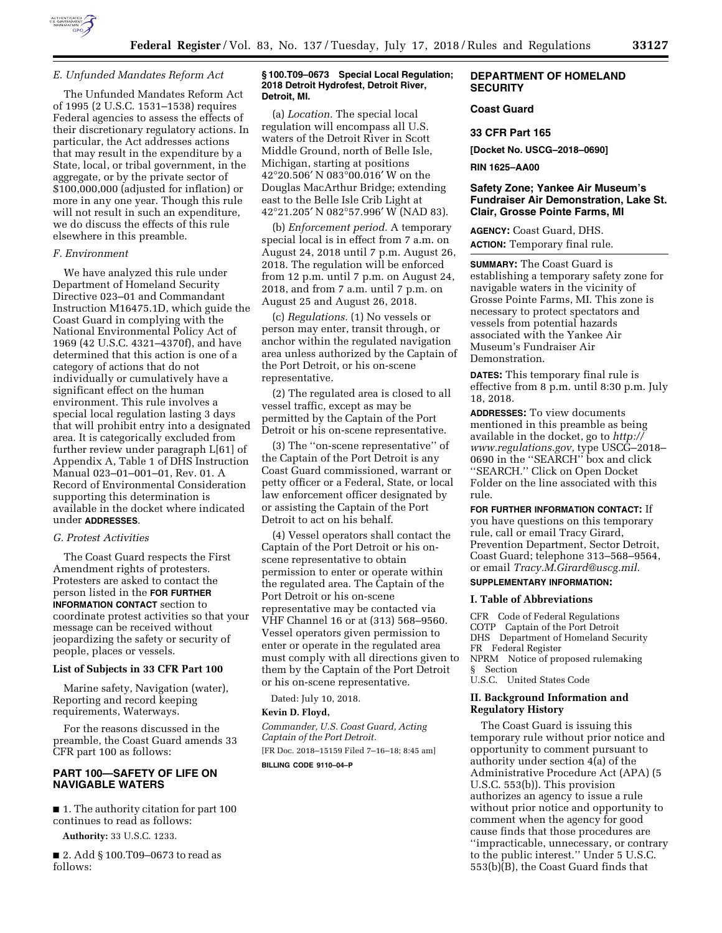

The Unfunded Mandates Reform Act of 1995 (2 U.S.C. 1531–1538) requires Federal agencies to assess the effects of their discretionary regulatory actions. In particular, the Act addresses actions that may result in the expenditure by a State, local, or tribal government, in the aggregate, or by the private sector of \$100,000,000 (adjusted for inflation) or more in any one year. Though this rule will not result in such an expenditure, we do discuss the effects of this rule elsewhere in this preamble.

#### *F. Environment*

We have analyzed this rule under Department of Homeland Security Directive 023–01 and Commandant Instruction M16475.1D, which guide the Coast Guard in complying with the National Environmental Policy Act of 1969 (42 U.S.C. 4321–4370f), and have determined that this action is one of a category of actions that do not individually or cumulatively have a significant effect on the human environment. This rule involves a special local regulation lasting 3 days that will prohibit entry into a designated area. It is categorically excluded from further review under paragraph L[61] of Appendix A, Table 1 of DHS Instruction Manual 023–01–001–01, Rev. 01. A Record of Environmental Consideration supporting this determination is available in the docket where indicated under **ADDRESSES**.

# *G. Protest Activities*

The Coast Guard respects the First Amendment rights of protesters. Protesters are asked to contact the person listed in the **FOR FURTHER INFORMATION CONTACT** section to coordinate protest activities so that your message can be received without jeopardizing the safety or security of people, places or vessels.

# **List of Subjects in 33 CFR Part 100**

Marine safety, Navigation (water), Reporting and record keeping requirements, Waterways.

For the reasons discussed in the preamble, the Coast Guard amends 33 CFR part 100 as follows:

# **PART 100—SAFETY OF LIFE ON NAVIGABLE WATERS**

■ 1. The authority citation for part 100 continues to read as follows:

**Authority:** 33 U.S.C. 1233.

■ 2. Add § 100.T09–0673 to read as follows:

## **§ 100.T09–0673 Special Local Regulation; 2018 Detroit Hydrofest, Detroit River, Detroit, MI.**

(a) *Location.* The special local regulation will encompass all U.S. waters of the Detroit River in Scott Middle Ground, north of Belle Isle, Michigan, starting at positions 42°20.506′ N 083°00.016′ W on the Douglas MacArthur Bridge; extending east to the Belle Isle Crib Light at 42°21.205′ N 082°57.996′ W (NAD 83).

(b) *Enforcement period.* A temporary special local is in effect from 7 a.m. on August 24, 2018 until 7 p.m. August 26, 2018. The regulation will be enforced from 12 p.m. until 7 p.m. on August 24, 2018, and from 7 a.m. until 7 p.m. on August 25 and August 26, 2018.

(c) *Regulations.* (1) No vessels or person may enter, transit through, or anchor within the regulated navigation area unless authorized by the Captain of the Port Detroit, or his on-scene representative.

(2) The regulated area is closed to all vessel traffic, except as may be permitted by the Captain of the Port Detroit or his on-scene representative.

(3) The ''on-scene representative'' of the Captain of the Port Detroit is any Coast Guard commissioned, warrant or petty officer or a Federal, State, or local law enforcement officer designated by or assisting the Captain of the Port Detroit to act on his behalf.

(4) Vessel operators shall contact the Captain of the Port Detroit or his onscene representative to obtain permission to enter or operate within the regulated area. The Captain of the Port Detroit or his on-scene representative may be contacted via VHF Channel 16 or at (313) 568–9560. Vessel operators given permission to enter or operate in the regulated area must comply with all directions given to them by the Captain of the Port Detroit or his on-scene representative.

Dated: July 10, 2018.

# **Kevin D. Floyd,**

*Commander, U.S. Coast Guard, Acting Captain of the Port Detroit.*  [FR Doc. 2018–15159 Filed 7–16–18; 8:45 am]

**BILLING CODE 9110–04–P** 

# **DEPARTMENT OF HOMELAND SECURITY**

# **Coast Guard**

## **33 CFR Part 165**

**[Docket No. USCG–2018–0690]** 

**RIN 1625–AA00** 

# **Safety Zone; Yankee Air Museum's Fundraiser Air Demonstration, Lake St. Clair, Grosse Pointe Farms, MI**

**AGENCY:** Coast Guard, DHS. **ACTION:** Temporary final rule.

**SUMMARY:** The Coast Guard is establishing a temporary safety zone for navigable waters in the vicinity of Grosse Pointe Farms, MI. This zone is necessary to protect spectators and vessels from potential hazards associated with the Yankee Air Museum's Fundraiser Air Demonstration.

**DATES:** This temporary final rule is effective from 8 p.m. until 8:30 p.m. July 18, 2018.

**ADDRESSES:** To view documents mentioned in this preamble as being available in the docket, go to *[http://](http://www.regulations.gov) [www.regulations.gov,](http://www.regulations.gov)* type USCG–2018– 0690 in the ''SEARCH'' box and click ''SEARCH.'' Click on Open Docket Folder on the line associated with this rule.

**FOR FURTHER INFORMATION CONTACT:** If you have questions on this temporary rule, call or email Tracy Girard, Prevention Department, Sector Detroit, Coast Guard; telephone 313–568–9564, or email *[Tracy.M.Girard@uscg.mil.](mailto:Tracy.M.Girard@uscg.mil)* 

# **SUPPLEMENTARY INFORMATION:**

## **I. Table of Abbreviations**

CFR Code of Federal Regulations COTP Captain of the Port Detroit DHS Department of Homeland Security FR Federal Register NPRM Notice of proposed rulemaking § Section U.S.C. United States Code

# **II. Background Information and Regulatory History**

The Coast Guard is issuing this temporary rule without prior notice and opportunity to comment pursuant to authority under section 4(a) of the Administrative Procedure Act (APA) (5 U.S.C. 553(b)). This provision authorizes an agency to issue a rule without prior notice and opportunity to comment when the agency for good cause finds that those procedures are ''impracticable, unnecessary, or contrary to the public interest.'' Under 5 U.S.C. 553(b)(B), the Coast Guard finds that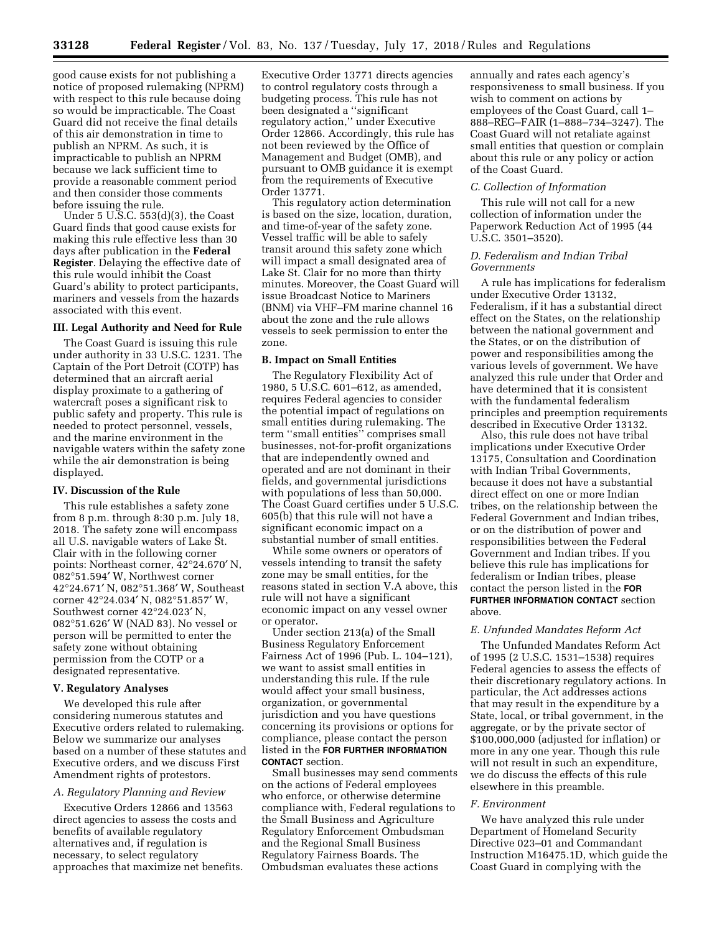good cause exists for not publishing a notice of proposed rulemaking (NPRM) with respect to this rule because doing so would be impracticable. The Coast Guard did not receive the final details of this air demonstration in time to publish an NPRM. As such, it is impracticable to publish an NPRM because we lack sufficient time to provide a reasonable comment period and then consider those comments before issuing the rule.

Under 5 U.S.C. 553(d)(3), the Coast Guard finds that good cause exists for making this rule effective less than 30 days after publication in the **Federal Register**. Delaying the effective date of this rule would inhibit the Coast Guard's ability to protect participants, mariners and vessels from the hazards associated with this event.

# **III. Legal Authority and Need for Rule**

The Coast Guard is issuing this rule under authority in 33 U.S.C. 1231. The Captain of the Port Detroit (COTP) has determined that an aircraft aerial display proximate to a gathering of watercraft poses a significant risk to public safety and property. This rule is needed to protect personnel, vessels, and the marine environment in the navigable waters within the safety zone while the air demonstration is being displayed.

#### **IV. Discussion of the Rule**

This rule establishes a safety zone from 8 p.m. through 8:30 p.m. July 18, 2018. The safety zone will encompass all U.S. navigable waters of Lake St. Clair with in the following corner points: Northeast corner, 42°24.670′ N, 082°51.594′ W, Northwest corner 42°24.671′ N, 082°51.368′ W, Southeast corner 42°24.034′ N, 082°51.857′ W, Southwest corner 42°24.023′ N, 082°51.626′ W (NAD 83). No vessel or person will be permitted to enter the safety zone without obtaining permission from the COTP or a designated representative.

#### **V. Regulatory Analyses**

We developed this rule after considering numerous statutes and Executive orders related to rulemaking. Below we summarize our analyses based on a number of these statutes and Executive orders, and we discuss First Amendment rights of protestors.

## *A. Regulatory Planning and Review*

Executive Orders 12866 and 13563 direct agencies to assess the costs and benefits of available regulatory alternatives and, if regulation is necessary, to select regulatory approaches that maximize net benefits.

Executive Order 13771 directs agencies to control regulatory costs through a budgeting process. This rule has not been designated a ''significant regulatory action,'' under Executive Order 12866. Accordingly, this rule has not been reviewed by the Office of Management and Budget (OMB), and pursuant to OMB guidance it is exempt from the requirements of Executive Order 13771.

This regulatory action determination is based on the size, location, duration, and time-of-year of the safety zone. Vessel traffic will be able to safely transit around this safety zone which will impact a small designated area of Lake St. Clair for no more than thirty minutes. Moreover, the Coast Guard will issue Broadcast Notice to Mariners (BNM) via VHF–FM marine channel 16 about the zone and the rule allows vessels to seek permission to enter the zone.

# **B. Impact on Small Entities**

The Regulatory Flexibility Act of 1980, 5 U.S.C. 601–612, as amended, requires Federal agencies to consider the potential impact of regulations on small entities during rulemaking. The term ''small entities'' comprises small businesses, not-for-profit organizations that are independently owned and operated and are not dominant in their fields, and governmental jurisdictions with populations of less than 50,000. The Coast Guard certifies under 5 U.S.C. 605(b) that this rule will not have a significant economic impact on a substantial number of small entities.

While some owners or operators of vessels intending to transit the safety zone may be small entities, for the reasons stated in section V.A above, this rule will not have a significant economic impact on any vessel owner or operator.

Under section 213(a) of the Small Business Regulatory Enforcement Fairness Act of 1996 (Pub. L. 104–121), we want to assist small entities in understanding this rule. If the rule would affect your small business, organization, or governmental jurisdiction and you have questions concerning its provisions or options for compliance, please contact the person listed in the **FOR FURTHER INFORMATION CONTACT** section.

Small businesses may send comments on the actions of Federal employees who enforce, or otherwise determine compliance with, Federal regulations to the Small Business and Agriculture Regulatory Enforcement Ombudsman and the Regional Small Business Regulatory Fairness Boards. The Ombudsman evaluates these actions

annually and rates each agency's responsiveness to small business. If you wish to comment on actions by employees of the Coast Guard, call 1– 888–REG–FAIR (1–888–734–3247). The Coast Guard will not retaliate against small entities that question or complain about this rule or any policy or action of the Coast Guard.

#### *C. Collection of Information*

This rule will not call for a new collection of information under the Paperwork Reduction Act of 1995 (44 U.S.C. 3501–3520).

# *D. Federalism and Indian Tribal Governments*

A rule has implications for federalism under Executive Order 13132, Federalism, if it has a substantial direct effect on the States, on the relationship between the national government and the States, or on the distribution of power and responsibilities among the various levels of government. We have analyzed this rule under that Order and have determined that it is consistent with the fundamental federalism principles and preemption requirements described in Executive Order 13132.

Also, this rule does not have tribal implications under Executive Order 13175, Consultation and Coordination with Indian Tribal Governments, because it does not have a substantial direct effect on one or more Indian tribes, on the relationship between the Federal Government and Indian tribes, or on the distribution of power and responsibilities between the Federal Government and Indian tribes. If you believe this rule has implications for federalism or Indian tribes, please contact the person listed in the **FOR FURTHER INFORMATION CONTACT** section above.

#### *E. Unfunded Mandates Reform Act*

The Unfunded Mandates Reform Act of 1995 (2 U.S.C. 1531–1538) requires Federal agencies to assess the effects of their discretionary regulatory actions. In particular, the Act addresses actions that may result in the expenditure by a State, local, or tribal government, in the aggregate, or by the private sector of \$100,000,000 (adjusted for inflation) or more in any one year. Though this rule will not result in such an expenditure, we do discuss the effects of this rule elsewhere in this preamble.

#### *F. Environment*

We have analyzed this rule under Department of Homeland Security Directive 023–01 and Commandant Instruction M16475.1D, which guide the Coast Guard in complying with the